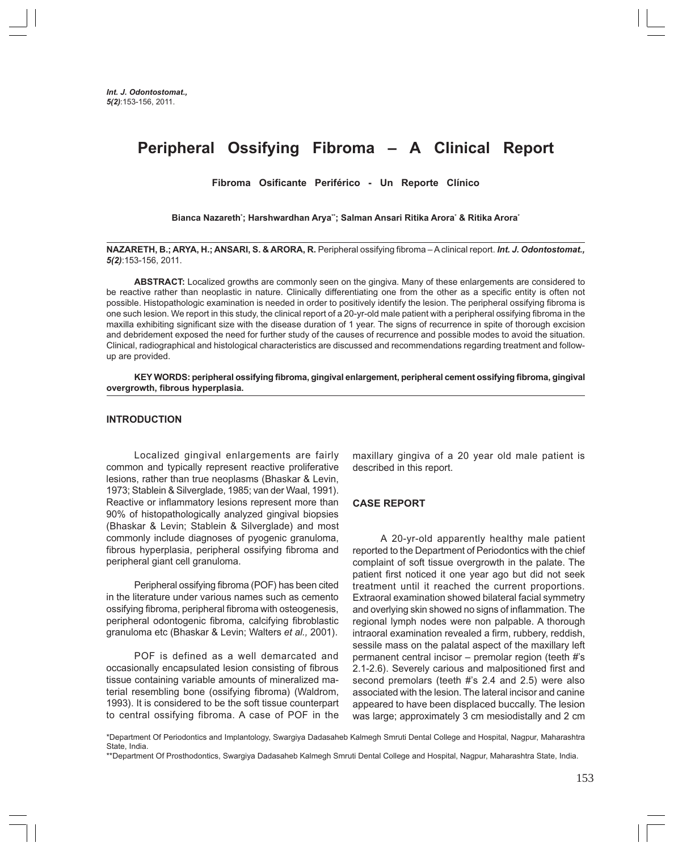# **Peripheral Ossifying Fibroma – A Clinical Report**

**Fibroma Osificante Periférico - Un Reporte Clínico**

**Bianca Nazareth\* ; Harshwardhan Arya\*\*; Salman Ansari Ritika Arora\* & Ritika Arora\***

**NAZARETH, B.; ARYA, H.; ANSARI, S. & ARORA, R.** Peripheral ossifying fibroma – A clinical report. *Int. J. Odontostomat., 5(2)*:153-156, 2011.

**ABSTRACT:** Localized growths are commonly seen on the gingiva. Many of these enlargements are considered to be reactive rather than neoplastic in nature. Clinically differentiating one from the other as a specific entity is often not possible. Histopathologic examination is needed in order to positively identify the lesion. The peripheral ossifying fibroma is one such lesion. We report in this study, the clinical report of a 20-yr-old male patient with a peripheral ossifying fibroma in the maxilla exhibiting significant size with the disease duration of 1 year. The signs of recurrence in spite of thorough excision and debridement exposed the need for further study of the causes of recurrence and possible modes to avoid the situation. Clinical, radiographical and histological characteristics are discussed and recommendations regarding treatment and followup are provided.

**KEY WORDS: peripheral ossifying fibroma, gingival enlargement, peripheral cement ossifying fibroma, gingival overgrowth, fibrous hyperplasia.**

### **INTRODUCTION**

Localized gingival enlargements are fairly common and typically represent reactive proliferative lesions, rather than true neoplasms (Bhaskar & Levin, 1973; Stablein & Silverglade, 1985; van der Waal, 1991). Reactive or inflammatory lesions represent more than 90% of histopathologically analyzed gingival biopsies (Bhaskar & Levin; Stablein & Silverglade) and most commonly include diagnoses of pyogenic granuloma, fibrous hyperplasia, peripheral ossifying fibroma and peripheral giant cell granuloma.

Peripheral ossifying fibroma (POF) has been cited in the literature under various names such as cemento ossifying fibroma, peripheral fibroma with osteogenesis, peripheral odontogenic fibroma, calcifying fibroblastic granuloma etc (Bhaskar & Levin; Walters *et al.,* 2001).

POF is defined as a well demarcated and occasionally encapsulated lesion consisting of fibrous tissue containing variable amounts of mineralized material resembling bone (ossifying fibroma) (Waldrom, 1993). It is considered to be the soft tissue counterpart to central ossifying fibroma. A case of POF in the

maxillary gingiva of a 20 year old male patient is described in this report.

## **CASE REPORT**

A 20-yr-old apparently healthy male patient reported to the Department of Periodontics with the chief complaint of soft tissue overgrowth in the palate. The patient first noticed it one year ago but did not seek treatment until it reached the current proportions. Extraoral examination showed bilateral facial symmetry and overlying skin showed no signs of inflammation. The regional lymph nodes were non palpable. A thorough intraoral examination revealed a firm, rubbery, reddish, sessile mass on the palatal aspect of the maxillary left permanent central incisor – premolar region (teeth #'s 2.1-2.6). Severely carious and malpositioned first and second premolars (teeth #'s 2.4 and 2.5) were also associated with the lesion. The lateral incisor and canine appeared to have been displaced buccally. The lesion was large; approximately 3 cm mesiodistally and 2 cm

<sup>\*</sup>Department Of Periodontics and Implantology, Swargiya Dadasaheb Kalmegh Smruti Dental College and Hospital, Nagpur, Maharashtra State, India.

<sup>\*\*</sup>Department Of Prosthodontics, Swargiya Dadasaheb Kalmegh Smruti Dental College and Hospital, Nagpur, Maharashtra State, India.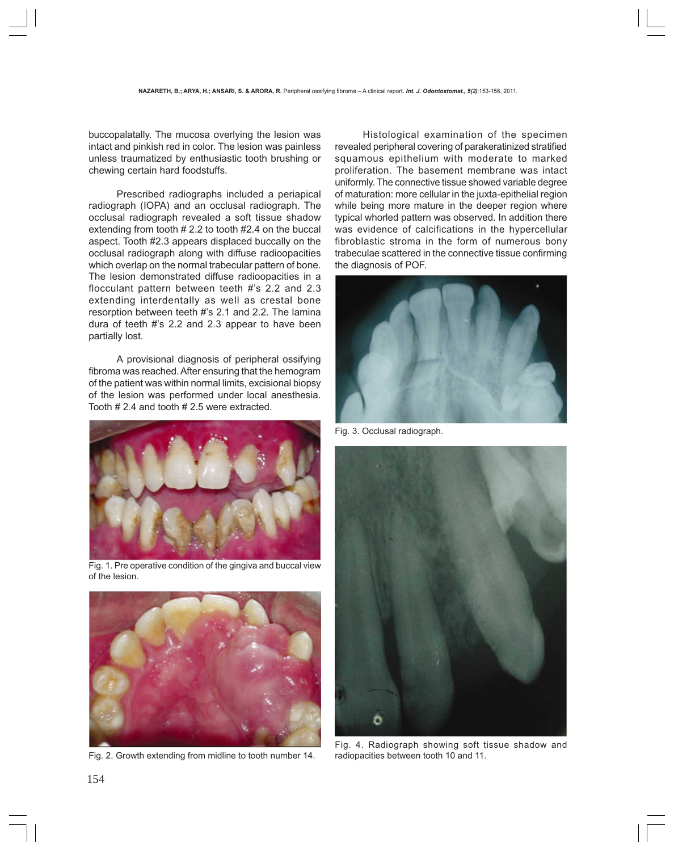buccopalatally. The mucosa overlying the lesion was intact and pinkish red in color. The lesion was painless unless traumatized by enthusiastic tooth brushing or chewing certain hard foodstuffs.

Prescribed radiographs included a periapical radiograph (IOPA) and an occlusal radiograph. The occlusal radiograph revealed a soft tissue shadow extending from tooth # 2.2 to tooth #2.4 on the buccal aspect. Tooth #2.3 appears displaced buccally on the occlusal radiograph along with diffuse radioopacities which overlap on the normal trabecular pattern of bone. The lesion demonstrated diffuse radioopacities in a flocculant pattern between teeth #'s 2.2 and 2.3 extending interdentally as well as crestal bone resorption between teeth #'s 2.1 and 2.2. The lamina dura of teeth #'s 2.2 and 2.3 appear to have been partially lost.

 A provisional diagnosis of peripheral ossifying fibroma was reached. After ensuring that the hemogram of the patient was within normal limits, excisional biopsy of the lesion was performed under local anesthesia. Tooth # 2.4 and tooth # 2.5 were extracted.



Fig. 1. Pre operative condition of the gingiva and buccal view of the lesion.



Fig. 2. Growth extending from midline to tooth number 14.

Histological examination of the specimen revealed peripheral covering of parakeratinized stratified squamous epithelium with moderate to marked proliferation. The basement membrane was intact uniformly. The connective tissue showed variable degree of maturation: more cellular in the juxta-epithelial region while being more mature in the deeper region where typical whorled pattern was observed. In addition there was evidence of calcifications in the hypercellular fibroblastic stroma in the form of numerous bony trabeculae scattered in the connective tissue confirming the diagnosis of POF.



Fig. 3. Occlusal radiograph.



Fig. 4. Radiograph showing soft tissue shadow and radiopacities between tooth 10 and 11.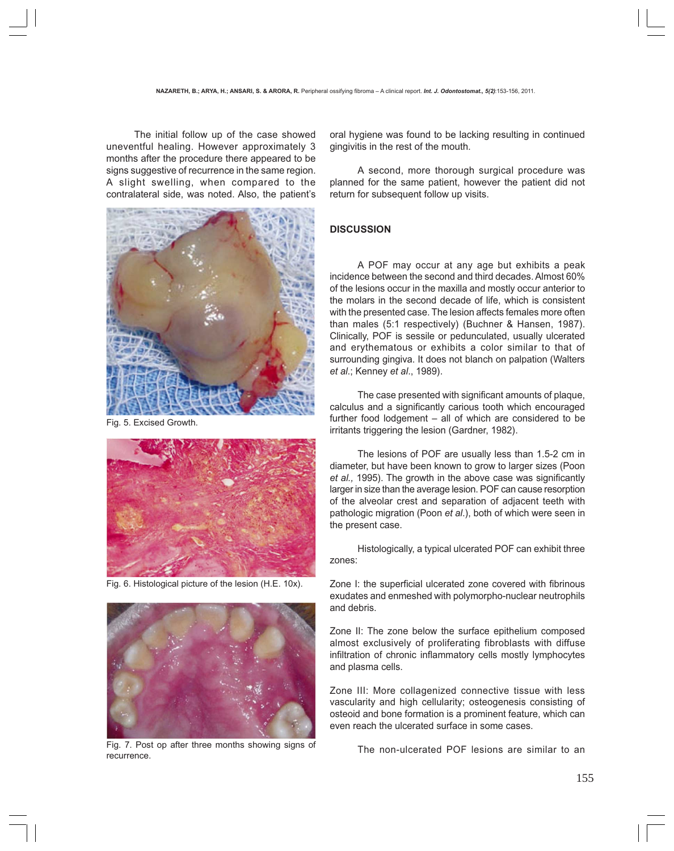The initial follow up of the case showed uneventful healing. However approximately 3 months after the procedure there appeared to be signs suggestive of recurrence in the same region. A slight swelling, when compared to the contralateral side, was noted. Also, the patient's



Fig. 5. Excised Growth.



Fig. 6. Histological picture of the lesion (H.E. 10x).



Fig. 7. Post op after three months showing signs of recurrence.

oral hygiene was found to be lacking resulting in continued gingivitis in the rest of the mouth.

A second, more thorough surgical procedure was planned for the same patient, however the patient did not return for subsequent follow up visits.

# **DISCUSSION**

A POF may occur at any age but exhibits a peak incidence between the second and third decades. Almost 60% of the lesions occur in the maxilla and mostly occur anterior to the molars in the second decade of life, which is consistent with the presented case. The lesion affects females more often than males (5:1 respectively) (Buchner & Hansen, 1987). Clinically, POF is sessile or pedunculated, usually ulcerated and erythematous or exhibits a color similar to that of surrounding gingiva. It does not blanch on palpation (Walters *et al*.; Kenney *et al*., 1989).

The case presented with significant amounts of plaque, calculus and a significantly carious tooth which encouraged further food lodgement – all of which are considered to be irritants triggering the lesion (Gardner, 1982).

The lesions of POF are usually less than 1.5-2 cm in diameter, but have been known to grow to larger sizes (Poon *et al.,* 1995). The growth in the above case was significantly larger in size than the average lesion. POF can cause resorption of the alveolar crest and separation of adjacent teeth with pathologic migration (Poon *et al*.), both of which were seen in the present case.

Histologically, a typical ulcerated POF can exhibit three zones:

Zone I: the superficial ulcerated zone covered with fibrinous exudates and enmeshed with polymorpho-nuclear neutrophils and debris.

Zone II: The zone below the surface epithelium composed almost exclusively of proliferating fibroblasts with diffuse infiltration of chronic inflammatory cells mostly lymphocytes and plasma cells.

Zone III: More collagenized connective tissue with less vascularity and high cellularity; osteogenesis consisting of osteoid and bone formation is a prominent feature, which can even reach the ulcerated surface in some cases.

The non-ulcerated POF lesions are similar to an